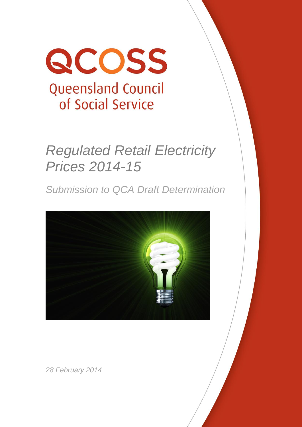

# *Regulated Retail Electricity Prices 2014-15*

*Submission to QCA Draft Determination*



*28 February 2014*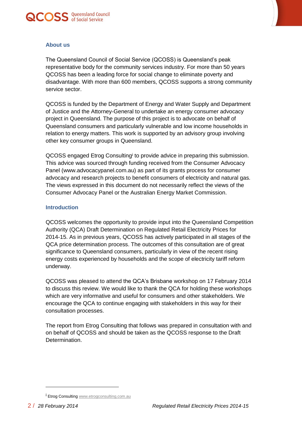



# **About us**

The Queensland Council of Social Service (QCOSS) is Queensland's peak representative body for the community services industry. For more than 50 years QCOSS has been a leading force for social change to eliminate poverty and disadvantage. With more than 600 members, QCOSS supports a strong community service sector.

QCOSS is funded by the Department of Energy and Water Supply and Department of Justice and the Attorney-General to undertake an energy consumer advocacy project in Queensland. The purpose of this project is to advocate on behalf of Queensland consumers and particularly vulnerable and low income households in relation to energy matters. This work is supported by an advisory group involving other key consumer groups in Queensland.

QCOSS engaged Etrog Consulting to provide advice in preparing this submission. This advice was sourced through funding received from the Consumer Advocacy Panel (www.advocacypanel.com.au) as part of its grants process for consumer advocacy and research projects to benefit consumers of electricity and natural gas. The views expressed in this document do not necessarily reflect the views of the Consumer Advocacy Panel or the Australian Energy Market Commission.

# **Introduction**

QCOSS welcomes the opportunity to provide input into the Queensland Competition Authority (QCA) Draft Determination on Regulated Retail Electricity Prices for 2014-15. As in previous years, QCOSS has actively participated in all stages of the QCA price determination process. The outcomes of this consultation are of great significance to Queensland consumers, particularly in view of the recent rising energy costs experienced by households and the scope of electricity tariff reform underway.

QCOSS was pleased to attend the QCA's Brisbane workshop on 17 February 2014 to discuss this review. We would like to thank the QCA for holding these workshops which are very informative and useful for consumers and other stakeholders. We encourage the QCA to continue engaging with stakeholders in this way for their consultation processes.

The report from Etrog Consulting that follows was prepared in consultation with and on behalf of QCOSS and should be taken as the QCOSS response to the Draft Determination.

l

i Etrog Consultin[g www.etrogconsulting.com.au](http://www.etrogconsulting.com.au/)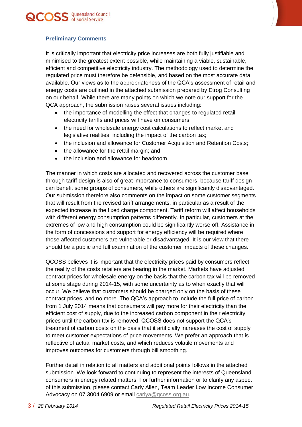



# **Preliminary Comments**

It is critically important that electricity price increases are both fully justifiable and minimised to the greatest extent possible, while maintaining a viable, sustainable, efficient and competitive electricity industry. The methodology used to determine the regulated price must therefore be defensible, and based on the most accurate data available. Our views as to the appropriateness of the QCA's assessment of retail and energy costs are outlined in the attached submission prepared by Etrog Consulting on our behalf. While there are many points on which we note our support for the QCA approach, the submission raises several issues including:

- the importance of modelling the effect that changes to regulated retail electricity tariffs and prices will have on consumers;
- the need for wholesale energy cost calculations to reflect market and legislative realities, including the impact of the carbon tax;
- the inclusion and allowance for Customer Acquisition and Retention Costs;
- the allowance for the retail margin; and
- the inclusion and allowance for headroom.

The manner in which costs are allocated and recovered across the customer base through tariff design is also of great importance to consumers, because tariff design can benefit some groups of consumers, while others are significantly disadvantaged. Our submission therefore also comments on the impact on some customer segments that will result from the revised tariff arrangements, in particular as a result of the expected increase in the fixed charge component. Tariff reform will affect households with different energy consumption patterns differently. In particular, customers at the extremes of low and high consumption could be significantly worse off. Assistance in the form of concessions and support for energy efficiency will be required where those affected customers are vulnerable or disadvantaged. It is our view that there should be a public and full examination of the customer impacts of these changes.

QCOSS believes it is important that the electricity prices paid by consumers reflect the reality of the costs retailers are bearing in the market. Markets have adjusted contract prices for wholesale energy on the basis that the carbon tax will be removed at some stage during 2014-15, with some uncertainty as to when exactly that will occur. We believe that customers should be charged only on the basis of these contract prices, and no more. The QCA's approach to include the full price of carbon from 1 July 2014 means that consumers will pay more for their electricity than the efficient cost of supply, due to the increased carbon component in their electricity prices until the carbon tax is removed. QCOSS does not support the QCA's treatment of carbon costs on the basis that it artificially increases the cost of supply to meet customer expectations of price movements. We prefer an approach that is reflective of actual market costs, and which reduces volatile movements and improves outcomes for customers through bill smoothing.

Further detail in relation to all matters and additional points follows in the attached submission. We look forward to continuing to represent the interests of Queensland consumers in energy related matters. For further information or to clarify any aspect of this submission, please contact Carly Allen, Team Leader Low Income Consumer Advocacy on 07 3004 6909 or email [carlya@qcoss.org.au.](mailto:carlya@qcoss.org.au)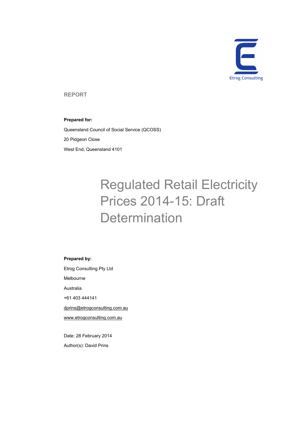

**REPORT** 

## **Prepared for:**

Queensland Council of Social Service (QCOSS) 20 Pidgeon Close West End, Queensland 4101

# Regulated Retail Electricity Prices 2014-15: Draft **Determination**

#### **Prepared by:**

Etrog Consulting Pty Ltd

Melbourne

Australia

+61 403 444141

dprins@etrogconsulting.com.au

www.etrogconsulting.com.au

Date: 28 February 2014 Author(s): David Prins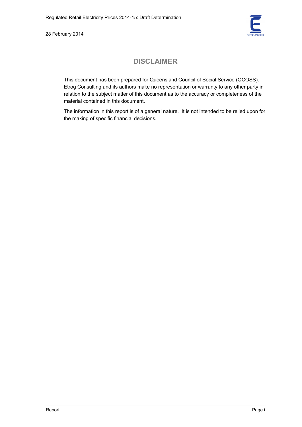

# **DISCLAIMER**

This document has been prepared for Queensland Council of Social Service (QCOSS). Etrog Consulting and its authors make no representation or warranty to any other party in relation to the subject matter of this document as to the accuracy or completeness of the material contained in this document.

The information in this report is of a general nature. It is not intended to be relied upon for the making of specific financial decisions.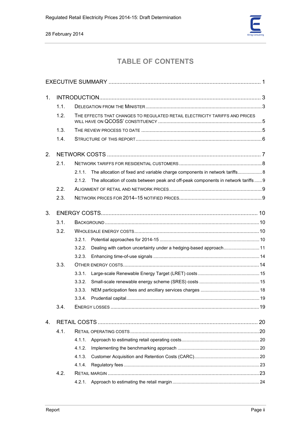

# **TABLE OF CONTENTS**

| 1.             |      |                                                                                              |  |  |  |  |
|----------------|------|----------------------------------------------------------------------------------------------|--|--|--|--|
|                | 1.1. |                                                                                              |  |  |  |  |
|                | 1.2. | THE EFFECTS THAT CHANGES TO REGULATED RETAIL ELECTRICITY TARIFFS AND PRICES                  |  |  |  |  |
|                | 1.3. |                                                                                              |  |  |  |  |
|                | 1.4. |                                                                                              |  |  |  |  |
| 2.             |      |                                                                                              |  |  |  |  |
|                | 2.1. |                                                                                              |  |  |  |  |
|                |      | The allocation of fixed and variable charge components in network tariffs 8<br>2.1.1.        |  |  |  |  |
|                |      | The allocation of costs between peak and off-peak components in network tariffs  9<br>2.1.2. |  |  |  |  |
|                | 2.2. |                                                                                              |  |  |  |  |
|                | 2.3. |                                                                                              |  |  |  |  |
| 3.             |      |                                                                                              |  |  |  |  |
|                | 3.1. |                                                                                              |  |  |  |  |
|                | 3.2. |                                                                                              |  |  |  |  |
|                |      | 3.2.1.                                                                                       |  |  |  |  |
|                |      | Dealing with carbon uncertainty under a hedging-based approach 11<br>3.2.2.                  |  |  |  |  |
|                |      | 3.2.3.                                                                                       |  |  |  |  |
|                | 3.3. |                                                                                              |  |  |  |  |
|                |      | 3.3.1.                                                                                       |  |  |  |  |
|                |      | 3.3.2.                                                                                       |  |  |  |  |
|                |      | 3.3.3.                                                                                       |  |  |  |  |
|                |      | 3.3.4.                                                                                       |  |  |  |  |
|                | 3.4. |                                                                                              |  |  |  |  |
| 4 <sub>1</sub> |      |                                                                                              |  |  |  |  |
|                | 4.1. |                                                                                              |  |  |  |  |
|                |      | 4.1.1.                                                                                       |  |  |  |  |
|                |      | 4.1.2.                                                                                       |  |  |  |  |
|                |      | 4.1.3.                                                                                       |  |  |  |  |
|                |      | 4.1.4.                                                                                       |  |  |  |  |
|                | 4.2. |                                                                                              |  |  |  |  |
|                |      | 4.2.1.                                                                                       |  |  |  |  |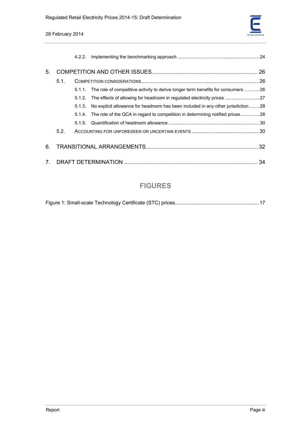

|             |      | 4.2.2. |                                                                                           |  |  |  |
|-------------|------|--------|-------------------------------------------------------------------------------------------|--|--|--|
| 5.          |      |        |                                                                                           |  |  |  |
|             | 5.1. |        |                                                                                           |  |  |  |
|             |      |        | 5.1.1. The role of competitive activity to derive longer term benefits for consumers  26  |  |  |  |
|             |      |        | 5.1.2. The effects of allowing for headroom in regulated electricity prices 27            |  |  |  |
|             |      |        | 5.1.3. No explicit allowance for headroom has been included in any other jurisdiction  28 |  |  |  |
|             |      |        | 5.1.4. The role of the QCA in regard to competition in determining notified prices 28     |  |  |  |
|             |      | 5.1.5  |                                                                                           |  |  |  |
|             | 5.2. |        |                                                                                           |  |  |  |
| 6.          |      |        |                                                                                           |  |  |  |
| $7_{\circ}$ |      |        |                                                                                           |  |  |  |

# **FIGURES**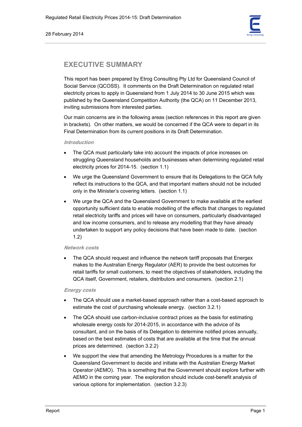

# **EXECUTIVE SUMMARY**

This report has been prepared by Etrog Consulting Pty Ltd for Queensland Council of Social Service (QCOSS). It comments on the Draft Determination on regulated retail electricity prices to apply in Queensland from 1 July 2014 to 30 June 2015 which was published by the Queensland Competition Authority (the QCA) on 11 December 2013, inviting submissions from interested parties.

Our main concerns are in the following areas (section references in this report are given in brackets). On other matters, we would be concerned if the QCA were to depart in its Final Determination from its current positions in its Draft Determination.

## **Introduction**

- The QCA must particularly take into account the impacts of price increases on struggling Queensland households and businesses when determining regulated retail electricity prices for 2014-15. (section 1.1)
- We urge the Queensland Government to ensure that its Delegations to the QCA fully reflect its instructions to the QCA, and that important matters should not be included only in the Minister's covering letters. (section 1.1)
- We urge the QCA and the Queensland Government to make available at the earliest opportunity sufficient data to enable modelling of the effects that changes to regulated retail electricity tariffs and prices will have on consumers, particularly disadvantaged and low income consumers, and to release any modelling that they have already undertaken to support any policy decisions that have been made to date. (section 1.2)

# **Network costs**

The QCA should request and influence the network tariff proposals that Energex makes to the Australian Energy Regulator (AER) to provide the best outcomes for retail tariffs for small customers, to meet the objectives of stakeholders, including the QCA itself, Government, retailers, distributors and consumers. (section 2.1)

## **Energy costs**

- The QCA should use a market-based approach rather than a cost-based approach to estimate the cost of purchasing wholesale energy. (section 3.2.1)
- The QCA should use carbon-inclusive contract prices as the basis for estimating wholesale energy costs for 2014-2015, in accordance with the advice of its consultant, and on the basis of its Delegation to determine notified prices annually, based on the best estimates of costs that are available at the time that the annual prices are determined. (section 3.2.2)
- We support the view that amending the Metrology Procedures is a matter for the Queensland Government to decide and initiate with the Australian Energy Market Operator (AEMO). This is something that the Government should explore further with AEMO in the coming year. The exploration should include cost-benefit analysis of various options for implementation. (section 3.2.3)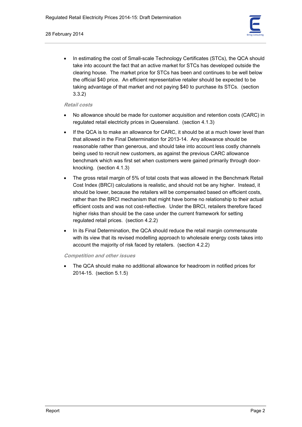

In estimating the cost of Small-scale Technology Certificates (STCs), the QCA should take into account the fact that an active market for STCs has developed outside the clearing house. The market price for STCs has been and continues to be well below the official \$40 price. An efficient representative retailer should be expected to be taking advantage of that market and not paying \$40 to purchase its STCs. (section 3.3.2)

## **Retail costs**

- No allowance should be made for customer acquisition and retention costs (CARC) in regulated retail electricity prices in Queensland. (section 4.1.3)
- If the QCA is to make an allowance for CARC, it should be at a much lower level than that allowed in the Final Determination for 2013-14. Any allowance should be reasonable rather than generous, and should take into account less costly channels being used to recruit new customers, as against the previous CARC allowance benchmark which was first set when customers were gained primarily through doorknocking. (section 4.1.3)
- The gross retail margin of 5% of total costs that was allowed in the Benchmark Retail Cost Index (BRCI) calculations is realistic, and should not be any higher. Instead, it should be lower, because the retailers will be compensated based on efficient costs, rather than the BRCI mechanism that might have borne no relationship to their actual efficient costs and was not cost-reflective. Under the BRCI, retailers therefore faced higher risks than should be the case under the current framework for setting regulated retail prices. (section 4.2.2)
- In its Final Determination, the QCA should reduce the retail margin commensurate with its view that its revised modelling approach to wholesale energy costs takes into account the majority of risk faced by retailers. (section 4.2.2)

**Competition and other issues** 

• The QCA should make no additional allowance for headroom in notified prices for 2014-15. (section 5.1.5)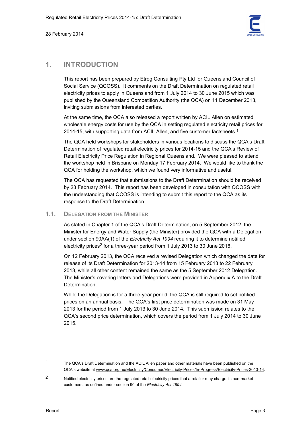

# **1. INTRODUCTION**

This report has been prepared by Etrog Consulting Pty Ltd for Queensland Council of Social Service (QCOSS). It comments on the Draft Determination on regulated retail electricity prices to apply in Queensland from 1 July 2014 to 30 June 2015 which was published by the Queensland Competition Authority (the QCA) on 11 December 2013, inviting submissions from interested parties.

At the same time, the QCA also released a report written by ACIL Allen on estimated wholesale energy costs for use by the QCA in setting regulated electricity retail prices for 2014-15, with supporting data from ACIL Allen, and five customer factsheets.<sup>1</sup>

The QCA held workshops for stakeholders in various locations to discuss the QCA's Draft Determination of regulated retail electricity prices for 2014-15 and the QCA's Review of Retail Electricity Price Regulation in Regional Queensland. We were pleased to attend the workshop held in Brisbane on Monday 17 February 2014. We would like to thank the QCA for holding the workshop, which we found very informative and useful.

The QCA has requested that submissions to the Draft Determination should be received by 28 February 2014. This report has been developed in consultation with QCOSS with the understanding that QCOSS is intending to submit this report to the QCA as its response to the Draft Determination.

# **1.1. DELEGATION FROM THE MINISTER**

As stated in Chapter 1 of the QCA's Draft Determination, on 5 September 2012, the Minister for Energy and Water Supply (the Minister) provided the QCA with a Delegation under section 90AA(1) of the *Electricity Act 1994* requiring it to determine notified electricity prices<sup>2</sup> for a three-year period from 1 July 2013 to 30 June 2016.

On 12 February 2013, the QCA received a revised Delegation which changed the date for release of its Draft Determination for 2013-14 from 15 February 2013 to 22 February 2013, while all other content remained the same as the 5 September 2012 Delegation. The Minister's covering letters and Delegations were provided in Appendix A to the Draft Determination.

While the Delegation is for a three-year period, the QCA is still required to set notified prices on an annual basis. The QCA's first price determination was made on 31 May 2013 for the period from 1 July 2013 to 30 June 2014. This submission relates to the QCA's second price determination, which covers the period from 1 July 2014 to 30 June 2015.

<sup>1</sup> The QCA's Draft Determination and the ACIL Allen paper and other materials have been published on the QCA's website at www.qca.org.au/Electricity/Consumer/Electricity-Prices/In-Progress/Electricity-Prices-2013-14.

<sup>2</sup> Notified electricity prices are the regulated retail electricity prices that a retailer may charge its non-market customers, as defined under section 90 of the *Electricity Act 1994*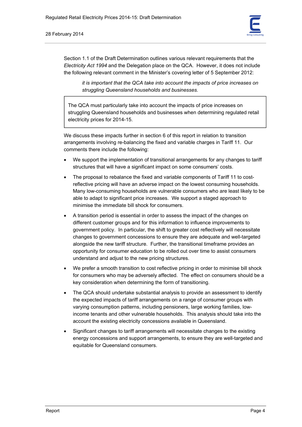

Section 1.1 of the Draft Determination outlines various relevant requirements that the *Electricity Act 1994* and the Delegation place on the QCA. However, it does not include the following relevant comment in the Minister's covering letter of 5 September 2012:

*it is important that the QCA take into account the impacts of price increases on struggling Queensland households and businesses.* 

The QCA must particularly take into account the impacts of price increases on struggling Queensland households and businesses when determining regulated retail electricity prices for 2014-15.

We discuss these impacts further in section 6 of this report in relation to transition arrangements involving re-balancing the fixed and variable charges in Tariff 11. Our comments there include the following:

- We support the implementation of transitional arrangements for any changes to tariff structures that will have a significant impact on some consumers' costs.
- The proposal to rebalance the fixed and variable components of Tariff 11 to costreflective pricing will have an adverse impact on the lowest consuming households. Many low-consuming households are vulnerable consumers who are least likely to be able to adapt to significant price increases. We support a staged approach to minimise the immediate bill shock for consumers.
- A transition period is essential in order to assess the impact of the changes on different customer groups and for this information to influence improvements to government policy. In particular, the shift to greater cost reflectively will necessitate changes to government concessions to ensure they are adequate and well-targeted alongside the new tariff structure. Further, the transitional timeframe provides an opportunity for consumer education to be rolled out over time to assist consumers understand and adjust to the new pricing structures.
- We prefer a smooth transition to cost reflective pricing in order to minimise bill shock for consumers who may be adversely affected. The effect on consumers should be a key consideration when determining the form of transitioning.
- The QCA should undertake substantial analysis to provide an assessment to identify the expected impacts of tariff arrangements on a range of consumer groups with varying consumption patterns, including pensioners, large working families, lowincome tenants and other vulnerable households. This analysis should take into the account the existing electricity concessions available in Queensland.
- Significant changes to tariff arrangements will necessitate changes to the existing energy concessions and support arrangements, to ensure they are well-targeted and equitable for Queensland consumers.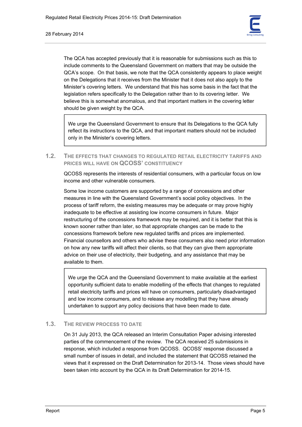

The QCA has accepted previously that it is reasonable for submissions such as this to include comments to the Queensland Government on matters that may be outside the QCA's scope. On that basis, we note that the QCA consistently appears to place weight on the Delegations that it receives from the Minister that it does not also apply to the Minister's covering letters. We understand that this has some basis in the fact that the legislation refers specifically to the Delegation rather than to its covering letter. We believe this is somewhat anomalous, and that important matters in the covering letter should be given weight by the QCA.

We urge the Queensland Government to ensure that its Delegations to the QCA fully reflect its instructions to the QCA, and that important matters should not be included only in the Minister's covering letters.

# **1.2. THE EFFECTS THAT CHANGES TO REGULATED RETAIL ELECTRICITY TARIFFS AND PRICES WILL HAVE ON QCOSS' CONSTITUENCY**

QCOSS represents the interests of residential consumers, with a particular focus on low income and other vulnerable consumers.

Some low income customers are supported by a range of concessions and other measures in line with the Queensland Government's social policy objectives. In the process of tariff reform, the existing measures may be adequate or may prove highly inadequate to be effective at assisting low income consumers in future. Major restructuring of the concessions framework may be required, and it is better that this is known sooner rather than later, so that appropriate changes can be made to the concessions framework before new regulated tariffs and prices are implemented. Financial counsellors and others who advise these consumers also need prior information on how any new tariffs will affect their clients, so that they can give them appropriate advice on their use of electricity, their budgeting, and any assistance that may be available to them.

We urge the QCA and the Queensland Government to make available at the earliest opportunity sufficient data to enable modelling of the effects that changes to regulated retail electricity tariffs and prices will have on consumers, particularly disadvantaged and low income consumers, and to release any modelling that they have already undertaken to support any policy decisions that have been made to date.

# **1.3. THE REVIEW PROCESS TO DATE**

On 31 July 2013, the QCA released an Interim Consultation Paper advising interested parties of the commencement of the review. The QCA received 25 submissions in response, which included a response from QCOSS. QCOSS' response discussed a small number of issues in detail, and included the statement that QCOSS retained the views that it expressed on the Draft Determination for 2013-14. Those views should have been taken into account by the QCA in its Draft Determination for 2014-15.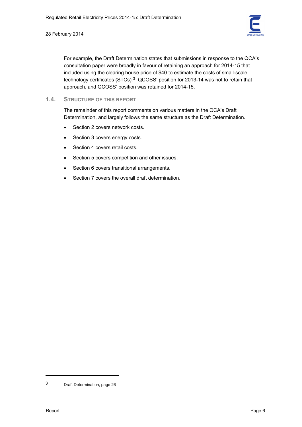

For example, the Draft Determination states that submissions in response to the QCA's consultation paper were broadly in favour of retaining an approach for 2014-15 that included using the clearing house price of \$40 to estimate the costs of small-scale technology certificates (STCs).3 QCOSS' position for 2013-14 was not to retain that approach, and QCOSS' position was retained for 2014-15.

**1.4. STRUCTURE OF THIS REPORT**

The remainder of this report comments on various matters in the QCA's Draft Determination, and largely follows the same structure as the Draft Determination.

- Section 2 covers network costs.
- Section 3 covers energy costs.
- Section 4 covers retail costs.
- Section 5 covers competition and other issues.
- Section 6 covers transitional arrangements.
- Section 7 covers the overall draft determination.

<sup>3</sup> Draft Determination, page 26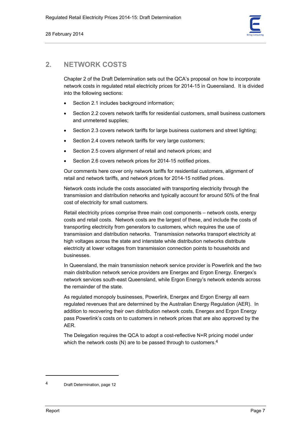

# **2. NETWORK COSTS**

Chapter 2 of the Draft Determination sets out the QCA's proposal on how to incorporate network costs in regulated retail electricity prices for 2014-15 in Queensland. It is divided into the following sections:

- Section 2.1 includes background information;
- Section 2.2 covers network tariffs for residential customers, small business customers and unmetered supplies;
- Section 2.3 covers network tariffs for large business customers and street lighting;
- Section 2.4 covers network tariffs for very large customers;
- Section 2.5 covers alignment of retail and network prices; and
- Section 2.6 covers network prices for 2014-15 notified prices.

Our comments here cover only network tariffs for residential customers, alignment of retail and network tariffs, and network prices for 2014-15 notified prices.

Network costs include the costs associated with transporting electricity through the transmission and distribution networks and typically account for around 50% of the final cost of electricity for small customers.

Retail electricity prices comprise three main cost components – network costs, energy costs and retail costs. Network costs are the largest of these, and include the costs of transporting electricity from generators to customers, which requires the use of transmission and distribution networks. Transmission networks transport electricity at high voltages across the state and interstate while distribution networks distribute electricity at lower voltages from transmission connection points to households and businesses.

In Queensland, the main transmission network service provider is Powerlink and the two main distribution network service providers are Energex and Ergon Energy. Energex's network services south-east Queensland, while Ergon Energy's network extends across the remainder of the state.

As regulated monopoly businesses, Powerlink, Energex and Ergon Energy all earn regulated revenues that are determined by the Australian Energy Regulation (AER). In addition to recovering their own distribution network costs, Energex and Ergon Energy pass Powerlink's costs on to customers in network prices that are also approved by the AER.

The Delegation requires the QCA to adopt a cost-reflective N+R pricing model under which the network costs (N) are to be passed through to customers.<sup>4</sup>

<sup>4</sup> Draft Determination, page 12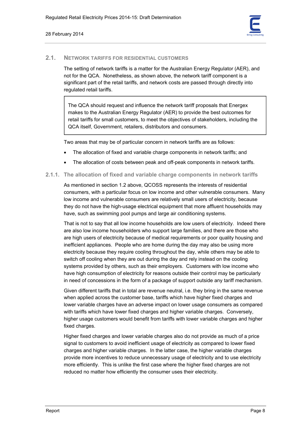

## **2.1. NETWORK TARIFFS FOR RESIDENTIAL CUSTOMERS**

The setting of network tariffs is a matter for the Australian Energy Regulator (AER), and not for the QCA. Nonetheless, as shown above, the network tariff component is a significant part of the retail tariffs, and network costs are passed through directly into regulated retail tariffs.

The QCA should request and influence the network tariff proposals that Energex makes to the Australian Energy Regulator (AER) to provide the best outcomes for retail tariffs for small customers, to meet the objectives of stakeholders, including the QCA itself, Government, retailers, distributors and consumers.

Two areas that may be of particular concern in network tariffs are as follows:

- The allocation of fixed and variable charge components in network tariffs; and
- The allocation of costs between peak and off-peak components in network tariffs.

# **2.1.1. The allocation of fixed and variable charge components in network tariffs**

As mentioned in section 1.2 above, QCOSS represents the interests of residential consumers, with a particular focus on low income and other vulnerable consumers. Many low income and vulnerable consumers are relatively small users of electricity, because they do not have the high-usage electrical equipment that more affluent households may have, such as swimming pool pumps and large air conditioning systems.

That is not to say that all low income households are low users of electricity. Indeed there are also low income householders who support large families, and there are those who are high users of electricity because of medical requirements or poor quality housing and inefficient appliances. People who are home during the day may also be using more electricity because they require cooling throughout the day, while others may be able to switch off cooling when they are out during the day and rely instead on the cooling systems provided by others, such as their employers. Customers with low income who have high consumption of electricity for reasons outside their control may be particularly in need of concessions in the form of a package of support outside any tariff mechanism.

Given different tariffs that in total are revenue neutral, i.e. they bring in the same revenue when applied across the customer base, tariffs which have higher fixed charges and lower variable charges have an adverse impact on lower usage consumers as compared with tariffs which have lower fixed charges and higher variable charges. Conversely, higher usage customers would benefit from tariffs with lower variable charges and higher fixed charges.

Higher fixed charges and lower variable charges also do not provide as much of a price signal to customers to avoid inefficient usage of electricity as compared to lower fixed charges and higher variable charges. In the latter case, the higher variable charges provide more incentives to reduce unnecessary usage of electricity and to use electricity more efficiently. This is unlike the first case where the higher fixed charges are not reduced no matter how efficiently the consumer uses their electricity.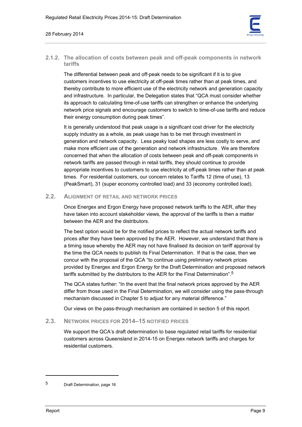

# **2.1.2. The allocation of costs between peak and off-peak components in network tariffs**

The differential between peak and off-peak needs to be significant if it is to give customers incentives to use electricity at off-peak times rather than at peak times, and thereby contribute to more efficient use of the electricity network and generation capacity and infrastructure. In particular, the Delegation states that "QCA must consider whether its approach to calculating time-of-use tariffs can strengthen or enhance the underlying network price signals and encourage customers to switch to time-of-use tariffs and reduce their energy consumption during peak times".

It is generally understood that peak usage is a significant cost driver for the electricity supply industry as a whole, as peak usage has to be met through investment in generation and network capacity. Less peaky load shapes are less costly to serve, and make more efficient use of the generation and network infrastructure. We are therefore concerned that when the allocation of costs between peak and off-peak components in network tariffs are passed through in retail tariffs, they should continue to provide appropriate incentives to customers to use electricity at off-peak times rather than at peak times. For residential customers, our concern relates to Tariffs 12 (time of use), 13 (PeakSmart), 31 (super economy controlled load) and 33 (economy controlled load).

# **2.2. ALIGNMENT OF RETAIL AND NETWORK PRICES**

Once Energex and Ergon Energy have proposed network tariffs to the AER, after they have taken into account stakeholder views, the approval of the tariffs is then a matter between the AER and the distributors.

The best option would be for the notified prices to reflect the actual network tariffs and prices after they have been approved by the AER. However, we understand that there is a timing issue whereby the AER may not have finalised its decision on tariff approval by the time the QCA needs to publish its Final Determination. If that is the case, then we concur with the proposal of the QCA "to continue using preliminary network prices provided by Energex and Ergon Energy for the Draft Determination and proposed network tariffs submitted by the distributors to the AER for the Final Determination".5

The QCA states further: "In the event that the final network prices approved by the AER differ from those used in the Final Determination, we will consider using the pass-through mechanism discussed in Chapter 5 to adjust for any material difference."

Our views on the pass-through mechanism are contained in section 5 of this report.

# **2.3. NETWORK PRICES FOR 2014–15 NOTIFIED PRICES**

We support the QCA's draft determination to base regulated retail tariffs for residential customers across Queensland in 2014-15 on Energex network tariffs and charges for residential customers.

<sup>5</sup> Draft Determination, page 16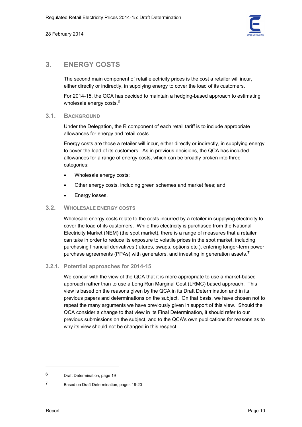

# **3. ENERGY COSTS**

The second main component of retail electricity prices is the cost a retailer will incur, either directly or indirectly, in supplying energy to cover the load of its customers.

For 2014-15, the QCA has decided to maintain a hedging-based approach to estimating wholesale energy costs.<sup>6</sup>

# **3.1. BACKGROUND**

Under the Delegation, the R component of each retail tariff is to include appropriate allowances for energy and retail costs.

Energy costs are those a retailer will incur, either directly or indirectly, in supplying energy to cover the load of its customers. As in previous decisions, the QCA has included allowances for a range of energy costs, which can be broadly broken into three categories:

- Wholesale energy costs;
- Other energy costs, including green schemes and market fees; and
- Energy losses.

# **3.2. WHOLESALE ENERGY COSTS**

Wholesale energy costs relate to the costs incurred by a retailer in supplying electricity to cover the load of its customers. While this electricity is purchased from the National Electricity Market (NEM) (the spot market), there is a range of measures that a retailer can take in order to reduce its exposure to volatile prices in the spot market, including purchasing financial derivatives (futures, swaps, options etc.), entering longer-term power purchase agreements (PPAs) with generators, and investing in generation assets.7

## **3.2.1. Potential approaches for 2014-15**

We concur with the view of the QCA that it is more appropriate to use a market-based approach rather than to use a Long Run Marginal Cost (LRMC) based approach. This view is based on the reasons given by the QCA in its Draft Determination and in its previous papers and determinations on the subject. On that basis, we have chosen not to repeat the many arguments we have previously given in support of this view. Should the QCA consider a change to that view in its Final Determination, it should refer to our previous submissions on the subject, and to the QCA's own publications for reasons as to why its view should not be changed in this respect.

<sup>6</sup> Draft Determination, page 19

<sup>7</sup> Based on Draft Determination, pages 19-20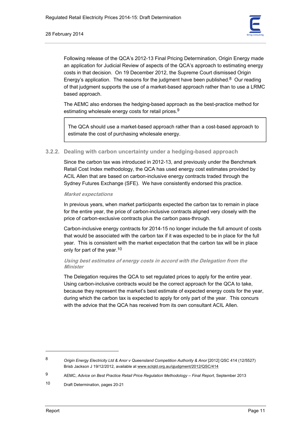

Following release of the QCA's 2012-13 Final Pricing Determination, Origin Energy made an application for Judicial Review of aspects of the QCA's approach to estimating energy costs in that decision. On 19 December 2012, the Supreme Court dismissed Origin Energy's application. The reasons for the judgment have been published. $8$  Our reading of that judgment supports the use of a market-based approach rather than to use a LRMC based approach.

The AEMC also endorses the hedging-based approach as the best-practice method for estimating wholesale energy costs for retail prices.9

The QCA should use a market-based approach rather than a cost-based approach to estimate the cost of purchasing wholesale energy.

## **3.2.2. Dealing with carbon uncertainty under a hedging-based approach**

Since the carbon tax was introduced in 2012-13, and previously under the Benchmark Retail Cost Index methodology, the QCA has used energy cost estimates provided by ACIL Allen that are based on carbon-inclusive energy contracts traded through the Sydney Futures Exchange (SFE). We have consistently endorsed this practice.

#### **Market expectations**

In previous years, when market participants expected the carbon tax to remain in place for the entire year, the price of carbon-inclusive contracts aligned very closely with the price of carbon-exclusive contracts plus the carbon pass-through.

Carbon-inclusive energy contracts for 2014-15 no longer include the full amount of costs that would be associated with the carbon tax if it was expected to be in place for the full year. This is consistent with the market expectation that the carbon tax will be in place only for part of the year.10

#### **Using best estimates of energy costs in accord with the Delegation from the Minister**

The Delegation requires the QCA to set regulated prices to apply for the entire year. Using carbon-inclusive contracts would be the correct approach for the QCA to take, because they represent the market's best estimate of expected energy costs for the year, during which the carbon tax is expected to apply for only part of the year. This concurs with the advice that the QCA has received from its own consultant ACIL Allen.

<sup>8</sup> *Origin Energy Electricity Ltd & Anor v Queensland Competition Authority & Anor* [2012] QSC 414 (12/5527) Brisb Jackson J 19/12/2012, available at www.sclqld.org.au/qjudgment/2012/QSC/414

<sup>9</sup> AEMC, *Advice on Best Practice Retail Price Regulation Methodology – Final Report*, September 2013

<sup>10</sup> Draft Determination, pages 20-21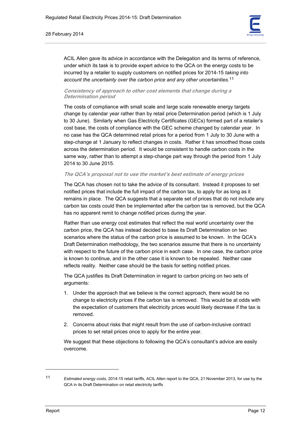#### 28 February 2014



ACIL Allen gave its advice in accordance with the Delegation and its terms of reference, under which its task is to provide expert advice to the QCA on the energy costs to be incurred by a retailer to supply customers on notified prices for 2014-15 *taking into account the uncertainty over the carbon price and any other uncertainties*. 11

#### **Consistency of approach to other cost elements that change during a Determination period**

The costs of compliance with small scale and large scale renewable energy targets change by calendar year rather than by retail price Determination period (which is 1 July to 30 June). Similarly when Gas Electricity Certificates (GECs) formed part of a retailer's cost base, the costs of compliance with the GEC scheme changed by calendar year. In no case has the QCA determined retail prices for a period from 1 July to 30 June with a step-change at 1 January to reflect changes in costs. Rather it has smoothed those costs across the determination period. It would be consistent to handle carbon costs in the same way, rather than to attempt a step-change part way through the period from 1 July 2014 to 30 June 2015.

#### **The QCA's proposal not to use the market's best estimate of energy prices**

The QCA has chosen not to take the advice of its consultant. Instead it proposes to set notified prices that include the full impact of the carbon tax, to apply for as long as it remains in place. The QCA suggests that a separate set of prices that do not include any carbon tax costs could then be implemented after the carbon tax is removed, but the QCA has no apparent remit to change notified prices during the year.

Rather than use energy cost estimates that reflect the real world uncertainty over the carbon price, the QCA has instead decided to base its Draft Determination on two scenarios where the status of the carbon price is assumed to be known. In the QCA's Draft Determination methodology, the two scenarios assume that there is no uncertainty with respect to the future of the carbon price in each case. In one case, the carbon price is known to continue, and in the other case it is known to be repealed. Neither case reflects reality. Neither case should be the basis for setting notified prices.

The QCA justifies its Draft Determination in regard to carbon pricing on two sets of arguments:

- 1. Under the approach that we believe is the correct approach, there would be no change to electricity prices if the carbon tax is removed. This would be at odds with the expectation of customers that electricity prices would likely decrease if the tax is removed.
- 2. Concerns about risks that might result from the use of carbon-inclusive contract prices to set retail prices once to apply for the entire year.

We suggest that these objections to following the QCA's consultant's advice are easily overcome.

 $\overline{a}$ 

<sup>11</sup> *Estimated energy costs*, 2014-15 retail tariffs, ACIL Allen report to the QCA, 21 November 2013, for use by the QCA in its Draft Determination on retail electricity tariffs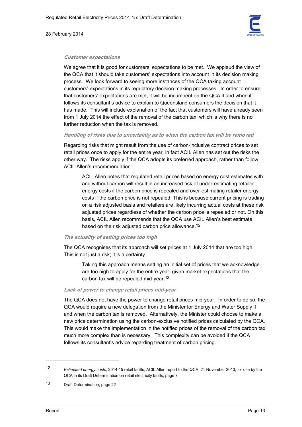#### 28 February 2014



#### **Customer expectations**

We agree that it is good for customers' expectations to be met. We applaud the view of the QCA that it should take customers' expectations into account in its decision making process. We look forward to seeing more instances of the QCA taking account customers' expectations in its regulatory decision making processes. In order to ensure that customers' expectations are met, it will be incumbent on the QCA if and when it follows its consultant's advice to explain to Queensland consumers the decision that it has made. This will include explanation of the fact that customers will have already seen from 1 July 2014 the effect of the removal of the carbon tax, which is why there is no further reduction when the tax is removed.

#### **Handling of risks due to uncertainty as to when the carbon tax will be removed**

Regarding risks that might result from the use of carbon-inclusive contract prices to set retail prices once to apply for the entire year, in fact ACIL Allen has set out the risks the other way. The risks apply if the QCA adopts its preferred approach, rather than follow ACIL Allen's recommendation:

ACIL Allen notes that regulated retail prices based on energy cost estimates with and without carbon will result in an increased risk of under-estimating retailer energy costs if the carbon price is repealed and over-estimating retailer energy costs if the carbon price is not repealed. This is because current pricing is trading on a risk adjusted basis and retailers are likely incurring actual costs at these risk adjusted prices regardless of whether the carbon price is repealed or not. On this basis, ACIL Allen recommends that the QCA use ACIL Allen's best estimate based on the risk adjusted carbon price allowance.<sup>12</sup>

#### **The actuality of setting prices too high**

The QCA recognises that its approach will set prices at 1 July 2014 that are too high. This is not just a risk; it is a certainty.

Taking this approach means setting an initial set of prices that we acknowledge are too high to apply for the entire year, given market expectations that the carbon tax will be repealed mid-year.13

#### **Lack of power to change retail prices mid-year**

The QCA does not have the power to change retail prices mid-year. In order to do so, the QCA would require a new delegation from the Minister for Energy and Water Supply if and when the carbon tax is removed. Alternatively, the Minister could choose to make a new price determination using the carbon-exclusive notified prices calculated by the QCA. This would make the implementation in the notified prices of the removal of the carbon tax much more complex than is necessary. This complexity can be avoided if the QCA follows its consultant's advice regarding treatment of carbon pricing.

<sup>12</sup> *Estimated energy costs*, 2014-15 retail tariffs, ACIL Allen report to the QCA, 21 November 2013, for use by the QCA in its Draft Determination on retail electricity tariffs, page 7

<sup>13</sup> Draft Determination, page 22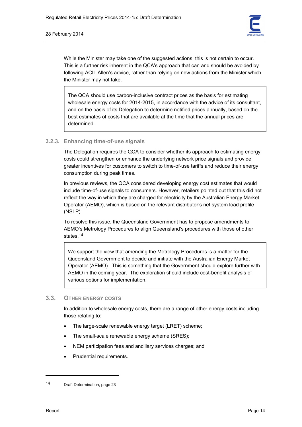

While the Minister may take one of the suggested actions, this is not certain to occur. This is a further risk inherent in the QCA's approach that can and should be avoided by following ACIL Allen's advice, rather than relying on new actions from the Minister which the Minister may not take.

The QCA should use carbon-inclusive contract prices as the basis for estimating wholesale energy costs for 2014-2015, in accordance with the advice of its consultant, and on the basis of its Delegation to determine notified prices annually, based on the best estimates of costs that are available at the time that the annual prices are determined.

# **3.2.3. Enhancing time-of-use signals**

The Delegation requires the QCA to consider whether its approach to estimating energy costs could strengthen or enhance the underlying network price signals and provide greater incentives for customers to switch to time-of-use tariffs and reduce their energy consumption during peak times.

In previous reviews, the QCA considered developing energy cost estimates that would include time-of-use signals to consumers. However, retailers pointed out that this did not reflect the way in which they are charged for electricity by the Australian Energy Market Operator (AEMO), which is based on the relevant distributor's net system load profile (NSLP).

To resolve this issue, the Queensland Government has to propose amendments to AEMO's Metrology Procedures to align Queensland's procedures with those of other states.14

We support the view that amending the Metrology Procedures is a matter for the Queensland Government to decide and initiate with the Australian Energy Market Operator (AEMO). This is something that the Government should explore further with AEMO in the coming year. The exploration should include cost-benefit analysis of various options for implementation.

# **3.3. OTHER ENERGY COSTS**

In addition to wholesale energy costs, there are a range of other energy costs including those relating to:

- The large-scale renewable energy target (LRET) scheme;
- The small-scale renewable energy scheme (SRES);
- NEM participation fees and ancillary services charges; and
- Prudential requirements.

<sup>14</sup> Draft Determination, page 23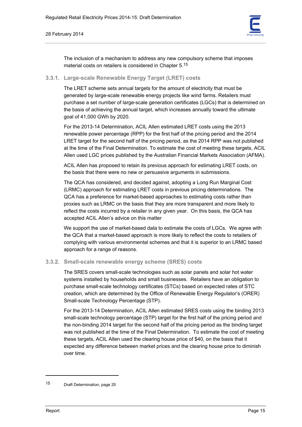#### 28 February 2014



The inclusion of a mechanism to address any new compulsory scheme that imposes material costs on retailers is considered in Chapter 5.15

#### **3.3.1. Large-scale Renewable Energy Target (LRET) costs**

The LRET scheme sets annual targets for the amount of electricity that must be generated by large-scale renewable energy projects like wind farms. Retailers must purchase a set number of large-scale generation certificates (LGCs) that is determined on the basis of achieving the annual target, which increases annually toward the ultimate goal of 41,000 GWh by 2020.

For the 2013-14 Determination, ACIL Allen estimated LRET costs using the 2013 renewable power percentage (RPP) for the first half of the pricing period and the 2014 LRET target for the second half of the pricing period, as the 2014 RPP was not published at the time of the Final Determination. To estimate the cost of meeting these targets, ACIL Allen used LGC prices published by the Australian Financial Markets Association (AFMA).

ACIL Allen has proposed to retain its previous approach for estimating LRET costs, on the basis that there were no new or persuasive arguments in submissions.

The QCA has considered, and decided against, adopting a Long Run Marginal Cost (LRMC) approach for estimating LRET costs in previous pricing determinations. The QCA has a preference for market-based approaches to estimating costs rather than proxies such as LRMC on the basis that they are more transparent and more likely to reflect the costs incurred by a retailer in any given year. On this basis, the QCA has accepted ACIL Allen's advice on this matter

We support the use of market-based data to estimate the costs of LGCs. We agree with the QCA that a market-based approach is more likely to reflect the costs to retailers of complying with various environmental schemes and that it is superior to an LRMC based approach for a range of reasons.

## **3.3.2. Small-scale renewable energy scheme (SRES) costs**

The SRES covers small-scale technologies such as solar panels and solar hot water systems installed by households and small businesses. Retailers have an obligation to purchase small-scale technology certificates (STCs) based on expected rates of STC creation, which are determined by the Office of Renewable Energy Regulator's (ORER) Small-scale Technology Percentage (STP).

For the 2013-14 Determination, ACIL Allen estimated SRES costs using the binding 2013 small-scale technology percentage (STP) target for the first half of the pricing period and the non-binding 2014 target for the second half of the pricing period as the binding target was not published at the time of the Final Determination. To estimate the cost of meeting these targets, ACIL Allen used the clearing house price of \$40, on the basis that it expected any difference between market prices and the clearing house price to diminish over time.

<sup>15</sup> Draft Determination, page 25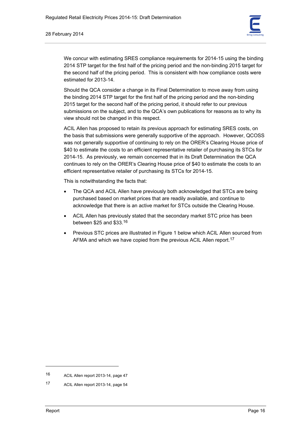

We concur with estimating SRES compliance requirements for 2014-15 using the binding 2014 STP target for the first half of the pricing period and the non-binding 2015 target for the second half of the pricing period. This is consistent with how compliance costs were estimated for 2013-14.

Should the QCA consider a change in its Final Determination to move away from using the binding 2014 STP target for the first half of the pricing period and the non-binding 2015 target for the second half of the pricing period, it should refer to our previous submissions on the subject, and to the QCA's own publications for reasons as to why its view should not be changed in this respect.

ACIL Allen has proposed to retain its previous approach for estimating SRES costs, on the basis that submissions were generally supportive of the approach. However, QCOSS was not generally supportive of continuing to rely on the ORER's Clearing House price of \$40 to estimate the costs to an efficient representative retailer of purchasing its STCs for 2014-15. As previously, we remain concerned that in its Draft Determination the QCA continues to rely on the ORER's Clearing House price of \$40 to estimate the costs to an efficient representative retailer of purchasing its STCs for 2014-15.

This is notwithstanding the facts that:

- The QCA and ACIL Allen have previously both acknowledged that STCs are being purchased based on market prices that are readily available, and continue to acknowledge that there is an active market for STCs outside the Clearing House.
- ACIL Allen has previously stated that the secondary market STC price has been between \$25 and \$33.16
- Previous STC prices are illustrated in Figure 1 below which ACIL Allen sourced from AFMA and which we have copied from the previous ACIL Allen report.<sup>17</sup>

<sup>16</sup> ACIL Allen report 2013-14, page 47

<sup>17</sup> ACIL Allen report 2013-14, page 54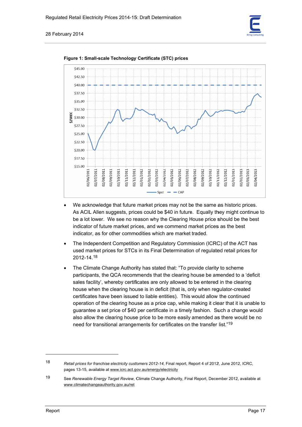



**Figure 1: Small-scale Technology Certificate (STC) prices** 

- We acknowledge that future market prices may not be the same as historic prices. As ACIL Allen suggests, prices could be \$40 in future. Equally they might continue to be a lot lower. We see no reason why the Clearing House price should be the best indicator of future market prices, and we commend market prices as the best indicator, as for other commodities which are market traded.
- The Independent Competition and Regulatory Commission (ICRC) of the ACT has used market prices for STCs in its Final Determination of regulated retail prices for 2012-14.<sup>18</sup>
- The Climate Change Authority has stated that: "To provide clarity to scheme participants, the QCA recommends that the clearing house be amended to a 'deficit sales facility', whereby certificates are only allowed to be entered in the clearing house when the clearing house is in deficit (that is, only when regulator-created certificates have been issued to liable entities). This would allow the continued operation of the clearing house as a price cap, while making it clear that it is unable to guarantee a set price of \$40 per certificate in a timely fashion. Such a change would also allow the clearing house price to be more easily amended as there would be no need for transitional arrangements for certificates on the transfer list."<sup>19</sup>

 $\overline{a}$ 

 $\overline{a}$ 

 $\overline{a}$ 

<sup>18</sup>  Retail prices for franchise electricity customers 2012-14, Final report, Report 4 of 2012, June 2012, ICRC, pages 13-15, available at www.icrc.act.gov.au/energy/electricity

<sup>19</sup>  See Renewable Energy Target Review, Climate Change Authority, Final Report, December 2012, available at www.climatechangeauthority.gov.au/ret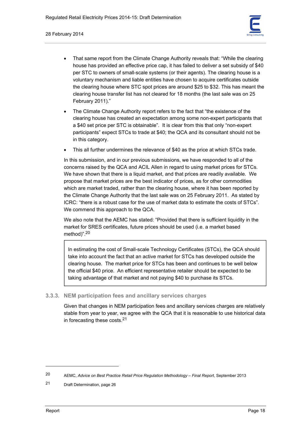

- That same report from the Climate Change Authority reveals that: "While the clearing house has provided an effective price cap, it has failed to deliver a set subsidy of \$40 per STC to owners of small-scale systems (or their agents). The clearing house is a voluntary mechanism and liable entities have chosen to acquire certificates outside the clearing house where STC spot prices are around \$25 to \$32. This has meant the clearing house transfer list has not cleared for 18 months (the last sale was on 25 February 2011)."
- The Climate Change Authority report refers to the fact that "the existence of the clearing house has created an expectation among some non-expert participants that a \$40 set price per STC is obtainable". It is clear from this that only "non-expert participants" expect STCs to trade at \$40; the QCA and its consultant should not be in this category.
- This all further undermines the relevance of \$40 as the price at which STCs trade.

In this submission, and in our previous submissions, we have responded to all of the concerns raised by the QCA and ACIL Allen in regard to using market prices for STCs. We have shown that there is a liquid market, and that prices are readily available. We propose that market prices are the best indicator of prices, as for other commodities which are market traded, rather than the clearing house, where it has been reported by the Climate Change Authority that the last sale was on 25 February 2011. As stated by ICRC: "there is a robust case for the use of market data to estimate the costs of STCs". We commend this approach to the QCA.

We also note that the AEMC has stated: "Provided that there is sufficient liquidity in the market for SRES certificates, future prices should be used (i.e. a market based method)".20

In estimating the cost of Small-scale Technology Certificates (STCs), the QCA should take into account the fact that an active market for STCs has developed outside the clearing house. The market price for STCs has been and continues to be well below the official \$40 price. An efficient representative retailer should be expected to be taking advantage of that market and not paying \$40 to purchase its STCs.

## **3.3.3. NEM participation fees and ancillary services charges**

Given that changes in NEM participation fees and ancillary services charges are relatively stable from year to year, we agree with the QCA that it is reasonable to use historical data in forecasting these costs.21

<sup>20</sup> AEMC, *Advice on Best Practice Retail Price Regulation Methodology – Final Report*, September 2013

<sup>21</sup> Draft Determination, page 26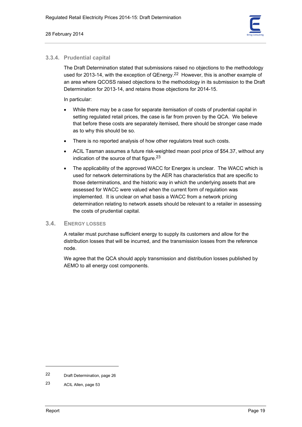

# **3.3.4. Prudential capital**

The Draft Determination stated that submissions raised no objections to the methodology used for 2013-14, with the exception of QEnergy.<sup>22</sup> However, this is another example of an area where QCOSS raised objections to the methodology in its submission to the Draft Determination for 2013-14, and retains those objections for 2014-15.

In particular:

- While there may be a case for separate itemisation of costs of prudential capital in setting regulated retail prices, the case is far from proven by the QCA. We believe that before these costs are separately itemised, there should be stronger case made as to why this should be so.
- There is no reported analysis of how other regulators treat such costs.
- ACIL Tasman assumes a future risk-weighted mean pool price of \$54.37, without any indication of the source of that figure.<sup>23</sup>
- The applicability of the approved WACC for Energex is unclear. The WACC which is used for network determinations by the AER has characteristics that are specific to those determinations, and the historic way in which the underlying assets that are assessed for WACC were valued when the current form of regulation was implemented. It is unclear on what basis a WACC from a network pricing determination relating to network assets should be relevant to a retailer in assessing the costs of prudential capital.

# **3.4. ENERGY LOSSES**

A retailer must purchase sufficient energy to supply its customers and allow for the distribution losses that will be incurred, and the transmission losses from the reference node.

We agree that the QCA should apply transmission and distribution losses published by AEMO to all energy cost components.

<sup>22</sup> Draft Determination, page 26

<sup>23</sup> ACIL Allen, page 53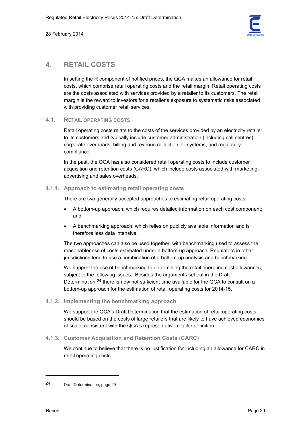

# **4. RETAIL COSTS**

In setting the R component of notified prices, the QCA makes an allowance for retail costs, which comprise retail operating costs and the retail margin. Retail operating costs are the costs associated with services provided by a retailer to its customers. The retail margin is the reward to investors for a retailer's exposure to systematic risks associated with providing customer retail services.

# **4.1. RETAIL OPERATING COSTS**

Retail operating costs relate to the costs of the services provided by an electricity retailer to its customers and typically include customer administration (including call centres), corporate overheads, billing and revenue collection, IT systems, and regulatory compliance.

In the past, the QCA has also considered retail operating costs to include customer acquisition and retention costs (CARC), which include costs associated with marketing, advertising and sales overheads.

# **4.1.1. Approach to estimating retail operating costs**

There are two generally accepted approaches to estimating retail operating costs:

- A bottom-up approach, which requires detailed information on each cost component; and
- A benchmarking approach, which relies on publicly available information and is therefore less data intensive.

The two approaches can also be used together, with benchmarking used to assess the reasonableness of costs estimated under a bottom-up approach. Regulators in other jurisdictions tend to use a combination of a bottom-up analysis and benchmarking.

We support the use of benchmarking to determining the retail operating cost allowances, subject to the following issues. Besides the arguments set out in the Draft Determination,<sup>24</sup> there is now not sufficient time available for the QCA to consult on a bottom-up approach for the estimation of retail operating costs for 2014-15.

## **4.1.2. Implementing the benchmarking approach**

We support the QCA's Draft Determination that the estimation of retail operating costs should be based on the costs of large retailers that are likely to have achieved economies of scale, consistent with the QCA's representative retailer definition.

**4.1.3. Customer Acquisition and Retention Costs (CARC)** 

We continue to believe that there is no justification for including an allowance for CARC in retail operating costs.

<sup>24</sup> Draft Determination, page 29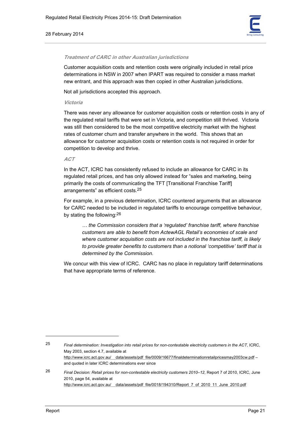#### 28 February 2014



#### **Treatment of CARC in other Australian jurisdictions**

Customer acquisition costs and retention costs were originally included in retail price determinations in NSW in 2007 when IPART was required to consider a mass market new entrant, and this approach was then copied in other Australian jurisdictions.

Not all jurisdictions accepted this approach.

#### **Victoria**

There was never any allowance for customer acquisition costs or retention costs in any of the regulated retail tariffs that were set in Victoria, and competition still thrived. Victoria was still then considered to be the most competitive electricity market with the highest rates of customer churn and transfer anywhere in the world. This shows that an allowance for customer acquisition costs or retention costs is not required in order for competition to develop and thrive.

#### **ACT**

In the ACT, ICRC has consistently refused to include an allowance for CARC in its regulated retail prices, and has only allowed instead for "sales and marketing, being primarily the costs of communicating the TFT [Transitional Franchise Tariff] arrangements" as efficient costs.25

For example, in a previous determination, ICRC countered arguments that an allowance for CARC needed to be included in regulated tariffs to encourage competitive behaviour, by stating the following:26

*… the Commission considers that a 'regulated' franchise tariff, where franchise customers are able to benefit from ActewAGL Retail's economies of scale and where customer acquisition costs are not included in the franchise tariff, is likely to provide greater benefits to customers than a notional 'competitive' tariff that is determined by the Commission.* 

We concur with this view of ICRC. CARC has no place in regulatory tariff determinations that have appropriate terms of reference.

25 *Final determination: Investigation into retail prices for non-contestable electricity customers in the ACT*, ICRC, May 2003, section 4.7, available at http://www.icrc.act.gov.au/ data/assets/pdf\_file/0009/16677/finaldeterminationretailpricesmay2003cw.pdf – and quoted in later ICRC determinations ever since

26 *Final Decision: Retail prices for non-contestable electricity customers 2010–12*, Report 7 of 2010, ICRC, June 2010, page 54, available at http://www.icrc.act.gov.au/ data/assets/pdf\_file/0018/194310/Report\_7\_of\_2010\_11\_June\_2010.pdf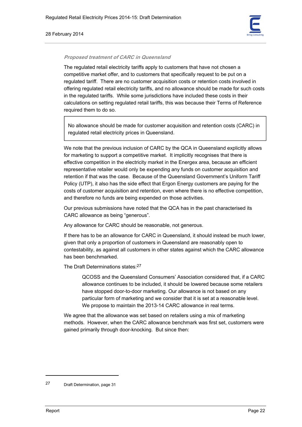#### 28 February 2014



#### **Proposed treatment of CARC in Queensland**

The regulated retail electricity tariffs apply to customers that have not chosen a competitive market offer, and to customers that specifically request to be put on a regulated tariff. There are no customer acquisition costs or retention costs involved in offering regulated retail electricity tariffs, and no allowance should be made for such costs in the regulated tariffs. While some jurisdictions have included these costs in their calculations on setting regulated retail tariffs, this was because their Terms of Reference required them to do so.

No allowance should be made for customer acquisition and retention costs (CARC) in regulated retail electricity prices in Queensland.

We note that the previous inclusion of CARC by the QCA in Queensland explicitly allows for marketing to support a competitive market. It implicitly recognises that there is effective competition in the electricity market in the Energex area, because an efficient representative retailer would only be expending any funds on customer acquisition and retention if that was the case. Because of the Queensland Government's Uniform Tariff Policy (UTP), it also has the side effect that Ergon Energy customers are paying for the costs of customer acquisition and retention, even where there is no effective competition, and therefore no funds are being expended on those activities.

Our previous submissions have noted that the QCA has in the past characterised its CARC allowance as being "generous".

Any allowance for CARC should be reasonable, not generous.

If there has to be an allowance for CARC in Queensland, it should instead be much lower, given that only a proportion of customers in Queensland are reasonably open to contestability, as against all customers in other states against which the CARC allowance has been benchmarked.

The Draft Determinations states: 27

QCOSS and the Queensland Consumers' Association considered that, if a CARC allowance continues to be included, it should be lowered because some retailers have stopped door-to-door marketing. Our allowance is not based on any particular form of marketing and we consider that it is set at a reasonable level. We propose to maintain the 2013-14 CARC allowance in real terms.

We agree that the allowance was set based on retailers using a mix of marketing methods. However, when the CARC allowance benchmark was first set, customers were gained primarily through door-knocking. But since then:

<sup>27</sup> Draft Determination, page 31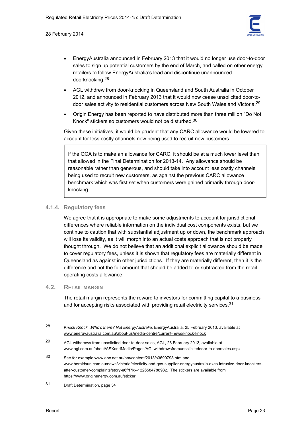

- EnergyAustralia announced in February 2013 that it would no longer use door-to-door sales to sign up potential customers by the end of March, and called on other energy retailers to follow EnergyAustralia's lead and discontinue unannounced doorknocking.28
- AGL withdrew from door-knocking in Queensland and South Australia in October 2012, and announced in February 2013 that it would now cease unsolicited door-todoor sales activity to residential customers across New South Wales and Victoria.29
- Origin Energy has been reported to have distributed more than three million "Do Not Knock" stickers so customers would not be disturbed.30

Given these initiatives, it would be prudent that any CARC allowance would be lowered to account for less costly channels now being used to recruit new customers.

If the QCA is to make an allowance for CARC, it should be at a much lower level than that allowed in the Final Determination for 2013-14. Any allowance should be reasonable rather than generous, and should take into account less costly channels being used to recruit new customers, as against the previous CARC allowance benchmark which was first set when customers were gained primarily through doorknocking.

# **4.1.4. Regulatory fees**

We agree that it is appropriate to make some adjustments to account for jurisdictional differences where reliable information on the individual cost components exists, but we continue to caution that with substantial adjustment up or down, the benchmark approach will lose its validity, as it will morph into an actual costs approach that is not properly thought through. We do not believe that an additional explicit allowance should be made to cover regulatory fees, unless it is shown that regulatory fees are materially different in Queensland as against in other jurisdictions. If they are materially different, then it is the difference and not the full amount that should be added to or subtracted from the retail operating costs allowance.

# **4.2. RETAIL MARGIN**

The retail margin represents the reward to investors for committing capital to a business and for accepting risks associated with providing retail electricity services.<sup>31</sup>

<sup>28</sup> *Knock Knock...Who's there? Not EnergyAustralia*, EnergyAustralia, 25 February 2013, available at www.energyaustralia.com.au/about-us/media-centre/current-news/knock-knock

<sup>29</sup> AGL withdraws from unsolicited door-to-door sales, AGL, 26 February 2013, available at www.agl.com.au/about/ASXandMedia/Pages/AGLwithdrawsfromunsoliciteddoor-to-doorsales.aspx

<sup>30</sup> See for example www.abc.net.au/pm/content/2013/s3699798.htm and www.heraldsun.com.au/news/victoria/electicity-and-gas-supplier-energyaustralia-axes-intrusive-door-knockersafter-customer-complaints/story-e6frf7kx-1226584788982. The stickers are available from https://www.originenergy.com.au/sticker.

<sup>31</sup> Draft Determination, page 34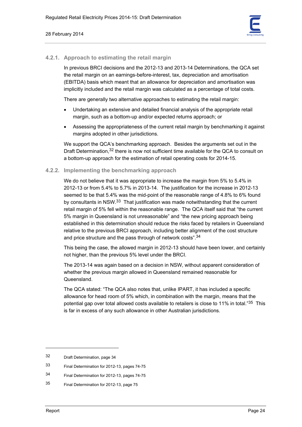

# **4.2.1. Approach to estimating the retail margin**

In previous BRCI decisions and the 2012-13 and 2013-14 Determinations, the QCA set the retail margin on an earnings-before-interest, tax, depreciation and amortisation (EBITDA) basis which meant that an allowance for depreciation and amortisation was implicitly included and the retail margin was calculated as a percentage of total costs.

There are generally two alternative approaches to estimating the retail margin:

- Undertaking an extensive and detailed financial analysis of the appropriate retail margin, such as a bottom-up and/or expected returns approach; or
- Assessing the appropriateness of the current retail margin by benchmarking it against margins adopted in other jurisdictions.

We support the QCA's benchmarking approach. Besides the arguments set out in the Draft Determination,<sup>32</sup> there is now not sufficient time available for the QCA to consult on a bottom-up approach for the estimation of retail operating costs for 2014-15.

# **4.2.2. Implementing the benchmarking approach**

We do not believe that it was appropriate to increase the margin from 5% to 5.4% in 2012-13 or from 5.4% to 5.7% in 2013-14. The justification for the increase in 2012-13 seemed to be that 5.4% was the mid-point of the reasonable range of 4.8% to 6% found by consultants in NSW.33 That justification was made notwithstanding that the current retail margin of 5% fell within the reasonable range. The QCA itself said that "the current 5% margin in Queensland is not unreasonable" and "the new pricing approach being established in this determination should reduce the risks faced by retailers in Queensland relative to the previous BRCI approach, including better alignment of the cost structure and price structure and the pass through of network costs".34

This being the case, the allowed margin in 2012-13 should have been lower, and certainly not higher, than the previous 5% level under the BRCI.

The 2013-14 was again based on a decision in NSW, without apparent consideration of whether the previous margin allowed in Queensland remained reasonable for Queensland.

The QCA stated: "The QCA also notes that, unlike IPART, it has included a specific allowance for head room of 5% which, in combination with the margin, means that the potential gap over total allowed costs available to retailers is close to 11% in total."35 This is far in excess of any such allowance in other Australian jurisdictions.

- 33 Final Determination for 2012-13, pages 74-75
- 34 Final Determination for 2012-13, pages 74-75
- 35 Final Determination for 2012-13, page 75

<sup>32</sup> Draft Determination, page 34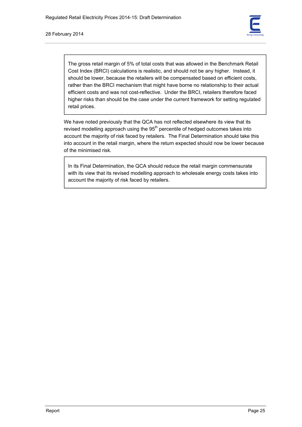#### 28 February 2014



The gross retail margin of 5% of total costs that was allowed in the Benchmark Retail Cost Index (BRCI) calculations is realistic, and should not be any higher. Instead, it should be lower, because the retailers will be compensated based on efficient costs, rather than the BRCI mechanism that might have borne no relationship to their actual efficient costs and was not cost-reflective. Under the BRCI, retailers therefore faced higher risks than should be the case under the current framework for setting regulated retail prices.

We have noted previously that the QCA has not reflected elsewhere its view that its revised modelling approach using the  $95<sup>th</sup>$  percentile of hedged outcomes takes into account the majority of risk faced by retailers. The Final Determination should take this into account in the retail margin, where the return expected should now be lower because of the minimised risk.

In its Final Determination, the QCA should reduce the retail margin commensurate with its view that its revised modelling approach to wholesale energy costs takes into account the majority of risk faced by retailers.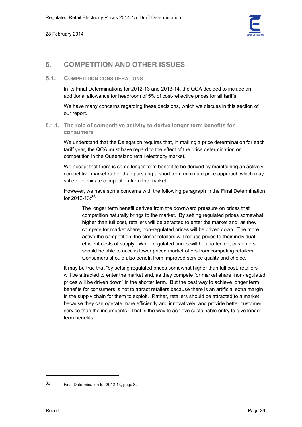

# **5. COMPETITION AND OTHER ISSUES**

# **5.1. COMPETITION CONSIDERATIONS**

In its Final Determinations for 2012-13 and 2013-14, the QCA decided to include an additional allowance for headroom of 5% of cost-reflective prices for all tariffs.

We have many concerns regarding these decisions, which we discuss in this section of our report.

# **5.1.1. The role of competitive activity to derive longer term benefits for consumers**

We understand that the Delegation requires that, in making a price determination for each tariff year, the QCA must have regard to the effect of the price determination on competition in the Queensland retail electricity market.

We accept that there is some longer term benefit to be derived by maintaining an actively competitive market rather than pursuing a short term minimum price approach which may stifle or eliminate competition from the market.

However, we have some concerns with the following paragraph in the Final Determination for 2012-13:36

The longer term benefit derives from the downward pressure on prices that competition naturally brings to the market. By setting regulated prices somewhat higher than full cost, retailers will be attracted to enter the market and, as they compete for market share, non-regulated prices will be driven down. The more active the competition, the closer retailers will reduce prices to their individual, efficient costs of supply. While regulated prices will be unaffected, customers should be able to access lower priced market offers from competing retailers. Consumers should also benefit from improved service quality and choice.

It may be true that "by setting regulated prices somewhat higher than full cost, retailers will be attracted to enter the market and, as they compete for market share, non-regulated prices will be driven down" in the shorter term. But the best way to achieve longer term benefits for consumers is not to attract retailers because there is an artificial extra margin in the supply chain for them to exploit. Rather, retailers should be attracted to a market because they can operate more efficiently and innovatively, and provide better customer service than the incumbents. That is the way to achieve sustainable entry to give longer term benefits.

<sup>36</sup> Final Determination for 2012-13, page 82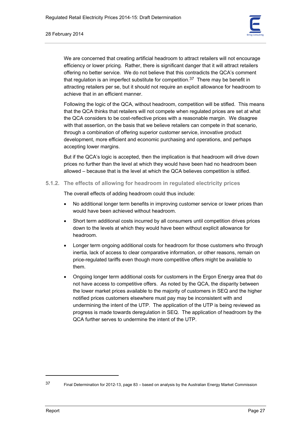

We are concerned that creating artificial headroom to attract retailers will not encourage efficiency or lower pricing. Rather, there is significant danger that it will attract retailers offering no better service. We do not believe that this contradicts the QCA's comment that regulation is an imperfect substitute for competition.<sup>37</sup> There may be benefit in attracting retailers per se, but it should not require an explicit allowance for headroom to achieve that in an efficient manner.

Following the logic of the QCA, without headroom, competition will be stifled. This means that the QCA thinks that retailers will not compete when regulated prices are set at what the QCA considers to be cost-reflective prices with a reasonable margin. We disagree with that assertion, on the basis that we believe retailers can compete in that scenario, through a combination of offering superior customer service, innovative product development, more efficient and economic purchasing and operations, and perhaps accepting lower margins.

But if the QCA's logic is accepted, then the implication is that headroom will drive down prices no further than the level at which they would have been had no headroom been allowed – because that is the level at which the QCA believes competition is stifled.

**5.1.2. The effects of allowing for headroom in regulated electricity prices** 

The overall effects of adding headroom could thus include:

- No additional longer term benefits in improving customer service or lower prices than would have been achieved without headroom.
- Short term additional costs incurred by all consumers until competition drives prices down to the levels at which they would have been without explicit allowance for headroom.
- Longer term ongoing additional costs for headroom for those customers who through inertia, lack of access to clear comparative information, or other reasons, remain on price-regulated tariffs even though more competitive offers might be available to them.
- Ongoing longer term additional costs for customers in the Ergon Energy area that do not have access to competitive offers. As noted by the QCA, the disparity between the lower market prices available to the majority of customers in SEQ and the higher notified prices customers elsewhere must pay may be inconsistent with and undermining the intent of the UTP. The application of the UTP is being reviewed as progress is made towards deregulation in SEQ. The application of headroom by the QCA further serves to undermine the intent of the UTP.

<sup>37</sup> Final Determination for 2012-13, page 83 – based on analysis by the Australian Energy Market Commission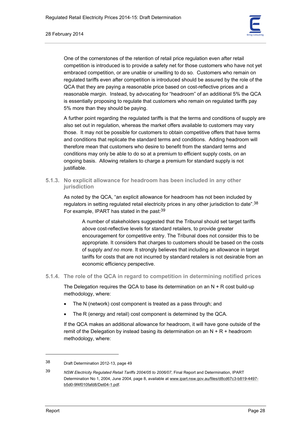

One of the cornerstones of the retention of retail price regulation even after retail competition is introduced is to provide a safety net for those customers who have not yet embraced competition, or are unable or unwilling to do so. Customers who remain on regulated tariffs even after competition is introduced should be assured by the role of the QCA that they are paying a reasonable price based on cost-reflective prices and a reasonable margin. Instead, by advocating for "headroom" of an additional 5% the QCA is essentially proposing to regulate that customers who remain on regulated tariffs pay 5% more than they should be paying.

A further point regarding the regulated tariffs is that the terms and conditions of supply are also set out in regulation, whereas the market offers available to customers may vary those. It may not be possible for customers to obtain competitive offers that have terms and conditions that replicate the standard terms and conditions. Adding headroom will therefore mean that customers who desire to benefit from the standard terms and conditions may only be able to do so at a premium to efficient supply costs, on an ongoing basis. Allowing retailers to charge a premium for standard supply is not justifiable.

**5.1.3. No explicit allowance for headroom has been included in any other jurisdiction** 

As noted by the QCA, "an explicit allowance for headroom has not been included by regulators in setting regulated retail electricity prices in any other jurisdiction to date".38 For example, IPART has stated in the past:39

A number of stakeholders suggested that the Tribunal should set target tariffs *above* cost-reflective levels for standard retailers, to provide greater encouragement for competitive entry. The Tribunal does not consider this to be appropriate. It considers that charges to customers should be based on the costs of supply *and no more*. It strongly believes that including an allowance in target tariffs for costs that are not incurred by standard retailers is not desirable from an economic efficiency perspective.

**5.1.4. The role of the QCA in regard to competition in determining notified prices** 

The Delegation requires the QCA to base its determination on an  $N + R$  cost build-up methodology, where:

- The N (network) cost component is treated as a pass through; and
- The R (energy and retail) cost component is determined by the QCA.

If the QCA makes an additional allowance for headroom, it will have gone outside of the remit of the Delegation by instead basing its determination on an  $N + R +$  headroom methodology, where:

<sup>38</sup> Draft Determination 2012-13, page 49

<sup>39</sup> *NSW Electricity Regulated Retail Tariffs 2004/05 to 2006/07*, Final Report and Determination, IPART Determination No 1, 2004, June 2004, page 8, available at www.ipart.nsw.gov.au/files/d8cd67c3-b819-4497 b5d0-9f4f010fafd8/Det04-1.pdf.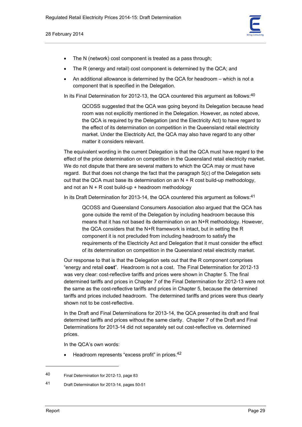

- The N (network) cost component is treated as a pass through;
- The R (energy and retail) cost component is determined by the QCA; and
- An additional allowance is determined by the QCA for headroom which is not a component that is specified in the Delegation.

In its Final Determination for 2012-13, the QCA countered this argument as follows:<sup>40</sup>

QCOSS suggested that the QCA was going beyond its Delegation because head room was not explicitly mentioned in the Delegation. However, as noted above, the QCA is required by the Delegation (and the Electricity Act) to have regard to the effect of its determination on competition in the Queensland retail electricity market. Under the Electricity Act, the QCA may also have regard to any other matter it considers relevant.

The equivalent wording in the current Delegation is that the QCA must have regard to the effect of the price determination on competition in the Queensland retail electricity market. We do not dispute that there are several matters to which the QCA may or must have regard. But that does not change the fact that the paragraph 5(c) of the Delegation sets out that the QCA must base its determination on an  $N + R$  cost build-up methodology, and not an  $N + R$  cost build-up + headroom methodology

In its Draft Determination for 2013-14, the QCA countered this argument as follows: $41$ 

QCOSS and Queensland Consumers Association also argued that the QCA has gone outside the remit of the Delegation by including headroom because this means that it has not based its determination on an N+R methodology. However, the QCA considers that the N+R framework is intact, but in setting the R component it is not precluded from including headroom to satisfy the requirements of the Electricity Act and Delegation that it must consider the effect of its determination on competition in the Queensland retail electricity market.

Our response to that is that the Delegation sets out that the R component comprises "energy and retail **cost**". Headroom is not a cost. The Final Determination for 2012-13 was very clear: cost-reflective tariffs and prices were shown in Chapter 5. The final determined tariffs and prices in Chapter 7 of the Final Determination for 2012-13 were not the same as the cost-reflective tariffs and prices in Chapter 5, because the determined tariffs and prices included headroom. The determined tariffs and prices were thus clearly shown not to be cost-reflective.

In the Draft and Final Determinations for 2013-14, the QCA presented its draft and final determined tariffs and prices without the same clarity. Chapter 7 of the Draft and Final Determinations for 2013-14 did not separately set out cost-reflective vs. determined prices.

In the QCA's own words:

• Headroom represents "excess profit" in prices.42

<sup>40</sup> Final Determination for 2012-13, page 83

<sup>41</sup> Draft Determination for 2013-14, pages 50-51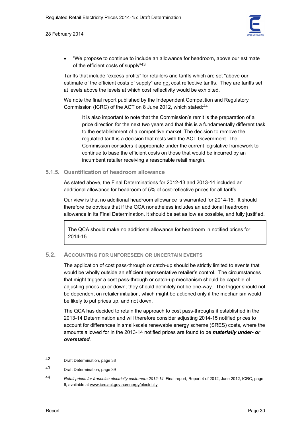

• "We propose to continue to include an allowance for headroom, above our estimate of the efficient costs of supply"43

Tariffs that include "excess profits" for retailers and tariffs which are set "above our estimate of the efficient costs of supply" are not cost reflective tariffs. They are tariffs set at levels above the levels at which cost reflectivity would be exhibited.

We note the final report published by the Independent Competition and Regulatory Commission (ICRC) of the ACT on 8 June 2012, which stated:44

It is also important to note that the Commission's remit is the preparation of a price direction for the next two years and that this is a fundamentally different task to the establishment of a competitive market. The decision to remove the regulated tariff is a decision that rests with the ACT Government. The Commission considers it appropriate under the current legislative framework to continue to base the efficient costs on those that would be incurred by an incumbent retailer receiving a reasonable retail margin.

# **5.1.5. Quantification of headroom allowance**

As stated above, the Final Determinations for 2012-13 and 2013-14 included an additional allowance for headroom of 5% of cost-reflective prices for all tariffs.

Our view is that no additional headroom allowance is warranted for 2014-15. It should therefore be obvious that if the QCA nonetheless includes an additional headroom allowance in its Final Determination, it should be set as low as possible, and fully justified.

The QCA should make no additional allowance for headroom in notified prices for 2014-15.

# **5.2. ACCOUNTING FOR UNFORESEEN OR UNCERTAIN EVENTS**

The application of cost pass-through or catch-up should be strictly limited to events that would be wholly outside an efficient representative retailer's control. The circumstances that might trigger a cost pass-through or catch-up mechanism should be capable of adjusting prices up or down; they should definitely not be one-way. The trigger should not be dependent on retailer initiation, which might be actioned only if the mechanism would be likely to put prices up, and not down.

The QCA has decided to retain the approach to cost pass-throughs it established in the 2013-14 Determination and will therefore consider adjusting 2014-15 notified prices to account for differences in small-scale renewable energy scheme (SRES) costs, where the amounts allowed for in the 2013-14 notified prices are found to be *materially under- or overstated*.

1

<sup>42</sup> Draft Determination, page 38

<sup>43</sup> Draft Determination, page 39

<sup>44</sup> *Retail prices for franchise electricity customers 2012-14*, Final report, Report 4 of 2012, June 2012, ICRC, page 6, available at www.icrc.act.gov.au/energy/electricity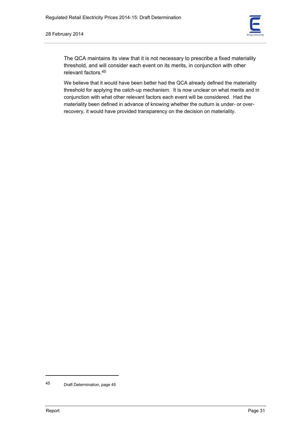

The QCA maintains its view that it is not necessary to prescribe a fixed materiality threshold, and will consider each event on its merits, in conjunction with other relevant factors.45

We believe that it would have been better had the QCA already defined the materiality threshold for applying the catch-up mechanism. It is now unclear on what merits and in conjunction with what other relevant factors each event will be considered. Had the materiality been defined in advance of knowing whether the outturn is under- or overrecovery, it would have provided transparency on the decision on materiality.

<sup>45</sup> Draft Determination, page 45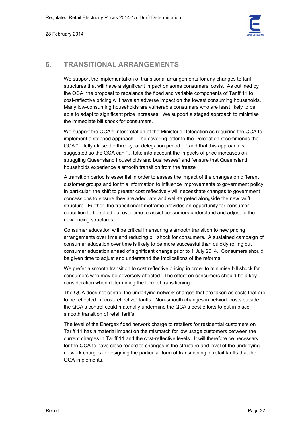

# **6. TRANSITIONAL ARRANGEMENTS**

We support the implementation of transitional arrangements for any changes to tariff structures that will have a significant impact on some consumers' costs. As outlined by the QCA, the proposal to rebalance the fixed and variable components of Tariff 11 to cost-reflective pricing will have an adverse impact on the lowest consuming households. Many low-consuming households are vulnerable consumers who are least likely to be able to adapt to significant price increases. We support a staged approach to minimise the immediate bill shock for consumers.

We support the QCA's interpretation of the Minister's Delegation as requiring the QCA to implement a stepped approach. The covering letter to the Delegation recommends the QCA "... fully utilise the three-year delegation period ..." and that this approach is suggested so the QCA can "... take into account the impacts of price increases on struggling Queensland households and businesses" and "ensure that Queensland households experience a smooth transition from the freeze".

A transition period is essential in order to assess the impact of the changes on different customer groups and for this information to influence improvements to government policy. In particular, the shift to greater cost reflectively will necessitate changes to government concessions to ensure they are adequate and well-targeted alongside the new tariff structure. Further, the transitional timeframe provides an opportunity for consumer education to be rolled out over time to assist consumers understand and adjust to the new pricing structures.

Consumer education will be critical in ensuring a smooth transition to new pricing arrangements over time and reducing bill shock for consumers. A sustained campaign of consumer education over time is likely to be more successful than quickly rolling out consumer education ahead of significant change prior to 1 July 2014. Consumers should be given time to adjust and understand the implications of the reforms.

We prefer a smooth transition to cost reflective pricing in order to minimise bill shock for consumers who may be adversely affected. The effect on consumers should be a key consideration when determining the form of transitioning.

The QCA does not control the underlying network charges that are taken as costs that are to be reflected in "cost-reflective" tariffs. Non-smooth changes in network costs outside the QCA's control could materially undermine the QCA's best efforts to put in place smooth transition of retail tariffs.

The level of the Energex fixed network charge to retailers for residential customers on Tariff 11 has a material impact on the mismatch for low usage customers between the current charges in Tariff 11 and the cost-reflective levels. It will therefore be necessary for the QCA to have close regard to changes in the structure and level of the underlying network charges in designing the particular form of transitioning of retail tariffs that the QCA implements.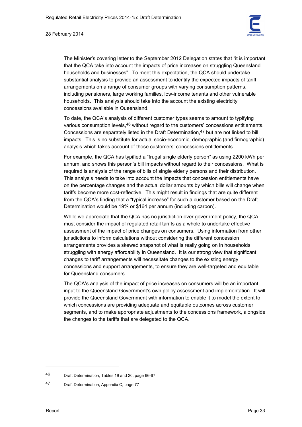



The Minister's covering letter to the September 2012 Delegation states that "it is important that the QCA take into account the impacts of price increases on struggling Queensland households and businesses". To meet this expectation, the QCA should undertake substantial analysis to provide an assessment to identify the expected impacts of tariff arrangements on a range of consumer groups with varying consumption patterns, including pensioners, large working families, low-income tenants and other vulnerable households. This analysis should take into the account the existing electricity concessions available in Queensland.

To date, the QCA's analysis of different customer types seems to amount to typifying various consumption levels, <sup>46</sup> without regard to the customers' concessions entitlements. Concessions are separately listed in the Draft Determination,47 but are not linked to bill impacts. This is no substitute for actual socio-economic, demographic (and firmographic) analysis which takes account of those customers' concessions entitlements.

For example, the QCA has typified a "frugal single elderly person" as using 2200 kWh per annum, and shows this person's bill impacts without regard to their concessions. What is required is analysis of the range of bills of single elderly persons and their distribution. This analysis needs to take into account the impacts that concession entitlements have on the percentage changes and the actual dollar amounts by which bills will change when tariffs become more cost-reflective. This might result in findings that are quite different from the QCA's finding that a "typical increase" for such a customer based on the Draft Determination would be 19% or \$164 per annum (including carbon).

While we appreciate that the QCA has no jurisdiction over government policy, the QCA must consider the impact of regulated retail tariffs as a whole to undertake effective assessment of the impact of price changes on consumers. Using information from other jurisdictions to inform calculations without considering the different concession arrangements provides a skewed snapshot of what is really going on in households struggling with energy affordability in Queensland. It is our strong view that significant changes to tariff arrangements will necessitate changes to the existing energy concessions and support arrangements, to ensure they are well-targeted and equitable for Queensland consumers.

The QCA's analysis of the impact of price increases on consumers will be an important input to the Queensland Government's own policy assessment and implementation. It will provide the Queensland Government with information to enable it to model the extent to which concessions are providing adequate and equitable outcomes across customer segments, and to make appropriate adjustments to the concessions framework, alongside the changes to the tariffs that are delegated to the QCA.

<sup>46</sup> Draft Determination, Tables 19 and 20, page 66-67

<sup>47</sup> Draft Determination, Appendix C, page 77